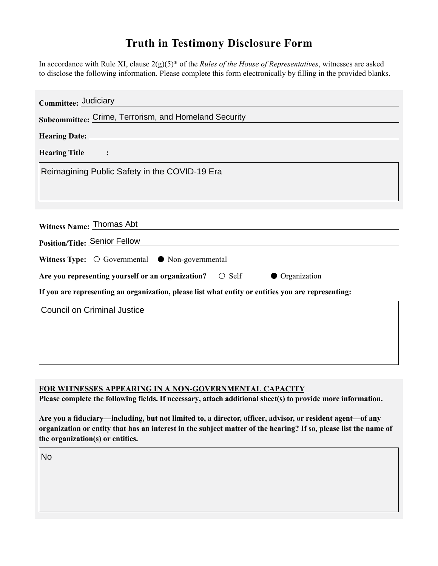## **Truth in Testimony Disclosure Form**

In accordance with Rule XI, clause 2(g)(5)\* of the *Rules of the House of Representatives*, witnesses are asked to disclose the following information. Please complete this form electronically by filling in the provided blanks.

| Committee: Judiciary                                                                               |
|----------------------------------------------------------------------------------------------------|
| Subcommittee: Crime, Terrorism, and Homeland Security                                              |
|                                                                                                    |
| <b>Hearing Title</b><br>$\sim$ $\sim$ $\sim$ $\sim$ $\sim$                                         |
| Reimagining Public Safety in the COVID-19 Era                                                      |
|                                                                                                    |
|                                                                                                    |
| Witness Name: Thomas Abt                                                                           |
| <b>Position/Title: Senior Fellow</b>                                                               |
| Witness Type: $\bigcirc$ Governmental $\bigcirc$ Non-governmental                                  |
| Are you representing yourself or an organization? $\bigcirc$ Self<br>• Organization                |
| If you are representing an organization, please list what entity or entities you are representing: |
| <b>Council on Criminal Justice</b>                                                                 |
|                                                                                                    |
|                                                                                                    |
|                                                                                                    |

## **FOR WITNESSES APPEARING IN A NON-GOVERNMENTAL CAPACITY**

**Please complete the following fields. If necessary, attach additional sheet(s) to provide more information.**

**Are you a fiduciary—including, but not limited to, a director, officer, advisor, or resident agent—of any organization or entity that has an interest in the subject matter of the hearing? If so, please list the name of the organization(s) or entities.**

No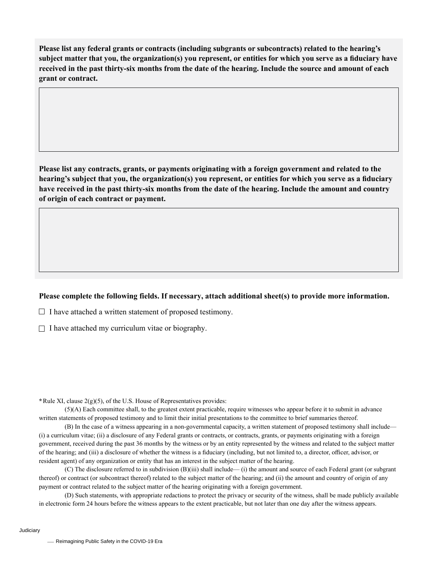**Please list any federal grants or contracts (including subgrants or subcontracts) related to the hearing's subject matter that you, the organization(s) you represent, or entities for which you serve as a fiduciary have received in the past thirty-six months from the date of the hearing. Include the source and amount of each grant or contract.** 

**Please list any contracts, grants, or payments originating with a foreign government and related to the hearing's subject that you, the organization(s) you represent, or entities for which you serve as a fiduciary have received in the past thirty-six months from the date of the hearing. Include the amount and country of origin of each contract or payment.** 

## **Please complete the following fields. If necessary, attach additional sheet(s) to provide more information.**

 $\Box$  I have attached a written statement of proposed testimony.

 $\Box$  I have attached my curriculum vitae or biography.

**\***Rule XI, clause 2(g)(5), of the U.S. House of Representatives provides:

(5)(A) Each committee shall, to the greatest extent practicable, require witnesses who appear before it to submit in advance written statements of proposed testimony and to limit their initial presentations to the committee to brief summaries thereof.

(B) In the case of a witness appearing in a non-governmental capacity, a written statement of proposed testimony shall include— (i) a curriculum vitae; (ii) a disclosure of any Federal grants or contracts, or contracts, grants, or payments originating with a foreign government, received during the past 36 months by the witness or by an entity represented by the witness and related to the subject matter of the hearing; and (iii) a disclosure of whether the witness is a fiduciary (including, but not limited to, a director, officer, advisor, or resident agent) of any organization or entity that has an interest in the subject matter of the hearing.

(C) The disclosure referred to in subdivision (B)(iii) shall include— (i) the amount and source of each Federal grant (or subgrant thereof) or contract (or subcontract thereof) related to the subject matter of the hearing; and (ii) the amount and country of origin of any payment or contract related to the subject matter of the hearing originating with a foreign government.

(D) Such statements, with appropriate redactions to protect the privacy or security of the witness, shall be made publicly available in electronic form 24 hours before the witness appears to the extent practicable, but not later than one day after the witness appears.